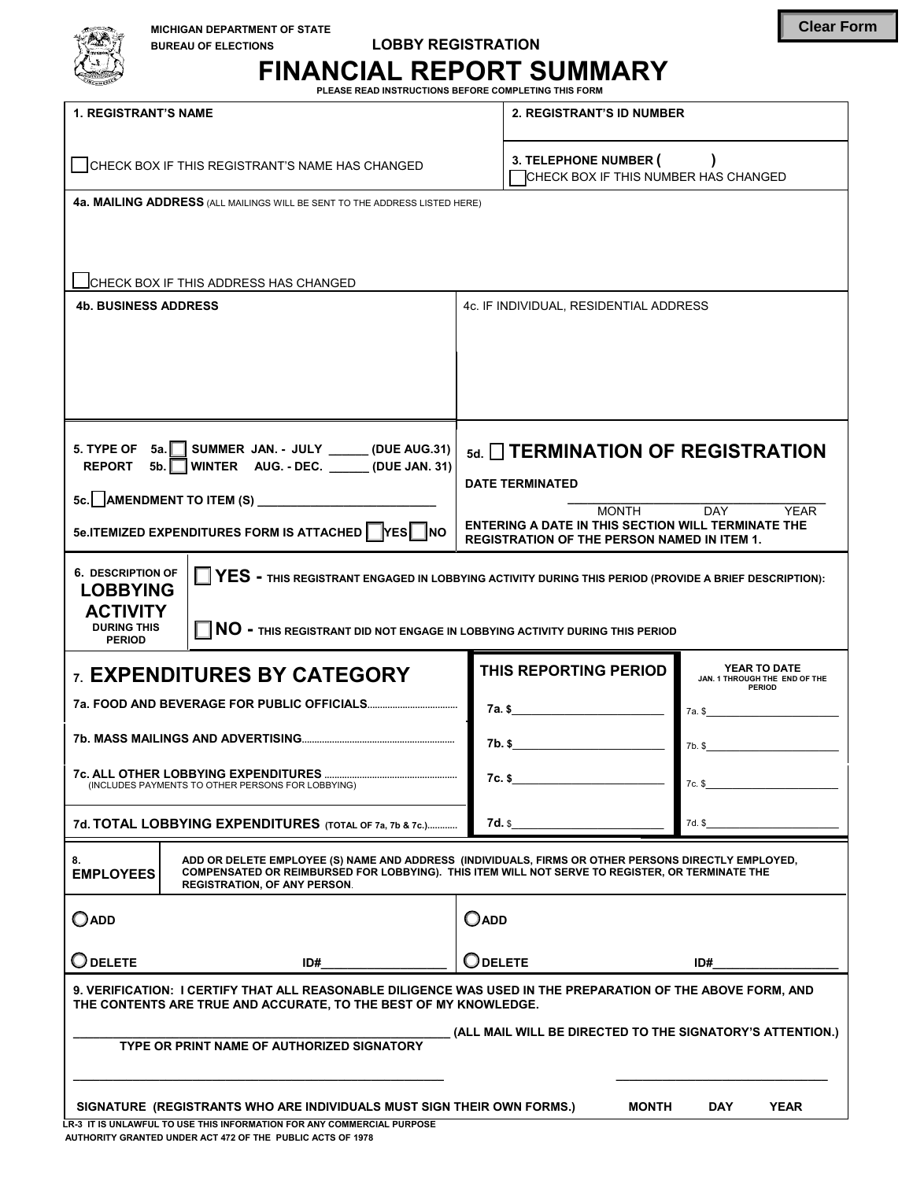| <b>MICHIGAN DEPARTMENT OF STATE</b><br><b>LOBBY REGISTRATION</b><br><b>BUREAU OF ELECTIONS</b>         | <b>FINANCIAL REPORT SUMMARY</b><br>PLEASE READ INSTRUCTIONS BEFORE COMPLETING THIS FORM |
|--------------------------------------------------------------------------------------------------------|-----------------------------------------------------------------------------------------|
| <b>1. REGISTRANT'S NAME</b>                                                                            | <b>2. REGISTRANT'S ID NUMBER</b>                                                        |
| CHECK BOX IF THIS REGISTRANT'S NAME HAS CHANGED                                                        | 3. TELEPHONE NUMBER (<br>CHECK BOX IF THIS NUMBER HAS CHANGED                           |
| 4a. MAILING ADDRESS (ALL MAILINGS WILL BE SENT TO THE ADDRESS LISTED HERE)                             |                                                                                         |
|                                                                                                        |                                                                                         |
| CHECK BOX IF THIS ADDRESS HAS CHANGED                                                                  |                                                                                         |
| <b>4b. BUSINESS ADDRESS</b>                                                                            | 4c. IF INDIVIDUAL, RESIDENTIAL ADDRESS                                                  |
|                                                                                                        |                                                                                         |
|                                                                                                        |                                                                                         |
|                                                                                                        |                                                                                         |
| 5. TYPE OF<br>SUMMER JAN. - JULY ______ (DUE AUG.31)<br>5a.<br>WINTED ALIC DEC<br><b>DEDADT</b><br>5h. | 5d. TERMINATION OF REGISTRAT                                                            |

|                                                                                                                                                                                                                                                                                                                    | <b>ICHECK BOX IF THIS ADDRESS HAS CHANGED</b>                                                                                                                                                                                                 |                                                                                                                 |                                                                |
|--------------------------------------------------------------------------------------------------------------------------------------------------------------------------------------------------------------------------------------------------------------------------------------------------------------------|-----------------------------------------------------------------------------------------------------------------------------------------------------------------------------------------------------------------------------------------------|-----------------------------------------------------------------------------------------------------------------|----------------------------------------------------------------|
| <b>4b. BUSINESS ADDRESS</b>                                                                                                                                                                                                                                                                                        |                                                                                                                                                                                                                                               | 4c. IF INDIVIDUAL. RESIDENTIAL ADDRESS                                                                          |                                                                |
|                                                                                                                                                                                                                                                                                                                    |                                                                                                                                                                                                                                               |                                                                                                                 |                                                                |
| 5. TYPE OF<br><b>REPORT</b><br>5 <sub>b</sub>                                                                                                                                                                                                                                                                      | $5a.$ SUMMER JAN. - JULY _______ (DUE AUG.31)<br>WINTER AUG. - DEC. _____(DUE JAN. 31)                                                                                                                                                        | $_{\text{5d}}$ $\Box$ TERMINATION OF REGISTRATION<br><b>DATE TERMINATED</b>                                     |                                                                |
|                                                                                                                                                                                                                                                                                                                    | 5c. AMENDMENT TO ITEM (S) _____________________________                                                                                                                                                                                       | <b>MONTH</b>                                                                                                    | <b>DAY</b><br>YEAR                                             |
|                                                                                                                                                                                                                                                                                                                    | 5e.ITEMIZED EXPENDITURES FORM IS ATTACHED FESTINO                                                                                                                                                                                             | <b>ENTERING A DATE IN THIS SECTION WILL TERMINATE THE</b><br><b>REGISTRATION OF THE PERSON NAMED IN ITEM 1.</b> |                                                                |
| <b>6. DESCRIPTION OF</b><br>$\Box$ YES - this registrant engaged in lobbying activity during this period (provide a brief description):<br><b>LOBBYING</b><br><b>ACTIVITY</b><br><b>DURING THIS</b><br>$\blacksquare$ NO - this registrant did not engage in lobbying activity during this period<br><b>PERIOD</b> |                                                                                                                                                                                                                                               |                                                                                                                 |                                                                |
|                                                                                                                                                                                                                                                                                                                    | <b>7 EXPENDITURES BY CATEGORY</b>                                                                                                                                                                                                             | THIS REPORTING PERIOD                                                                                           | YEAR TO DATE<br>JAN. 1 THROUGH THE END OF THE<br><b>PERIOD</b> |
|                                                                                                                                                                                                                                                                                                                    |                                                                                                                                                                                                                                               | 7a.s in the contract of the contract of the contract of the contract of the contract of the contract of the con | 7a. \$                                                         |
|                                                                                                                                                                                                                                                                                                                    |                                                                                                                                                                                                                                               | 7b. \$                                                                                                          | 7b. \$                                                         |
|                                                                                                                                                                                                                                                                                                                    | (INCLUDES PAYMENTS TO OTHER PERSONS FOR LOBBYING)                                                                                                                                                                                             | $7c.$ \$                                                                                                        | 7c. \$                                                         |
|                                                                                                                                                                                                                                                                                                                    | 7d. TOTAL LOBBYING EXPENDITURES (TOTAL OF 7a, 7b & 7c.)                                                                                                                                                                                       | 7d. s                                                                                                           | 7d. \$                                                         |
| 8.<br><b>EMPLOYEES</b>                                                                                                                                                                                                                                                                                             | ADD OR DELETE EMPLOYEE (S) NAME AND ADDRESS (INDIVIDUALS, FIRMS OR OTHER PERSONS DIRECTLY EMPLOYED,<br>COMPENSATED OR REIMBURSED FOR LOBBYING). THIS ITEM WILL NOT SERVE TO REGISTER, OR TERMINATE THE<br><b>REGISTRATION, OF ANY PERSON.</b> |                                                                                                                 |                                                                |
| $\bigcirc$ add                                                                                                                                                                                                                                                                                                     |                                                                                                                                                                                                                                               | $O$ ADD                                                                                                         |                                                                |
| J DELETE                                                                                                                                                                                                                                                                                                           | ID#                                                                                                                                                                                                                                           | Odelete                                                                                                         | ID#                                                            |
| 9. VERIFICATION: I CERTIFY THAT ALL REASONABLE DILIGENCE WAS USED IN THE PREPARATION OF THE ABOVE FORM, AND<br>THE CONTENTS ARE TRUE AND ACCURATE, TO THE BEST OF MY KNOWLEDGE.                                                                                                                                    |                                                                                                                                                                                                                                               |                                                                                                                 |                                                                |
| (ALL MAIL WILL BE DIRECTED TO THE SIGNATORY'S ATTENTION.)<br>TYPE OR PRINT NAME OF AUTHORIZED SIGNATORY                                                                                                                                                                                                            |                                                                                                                                                                                                                                               |                                                                                                                 |                                                                |
|                                                                                                                                                                                                                                                                                                                    |                                                                                                                                                                                                                                               |                                                                                                                 |                                                                |

SIGNATURE (REGISTRANTS WHO ARE INDIVIDUALS MUST SIGN THEIR OWN FORMS.) MONTH DAY YEAR **LR-3 IT IS UNLAWFUL TO USE THIS INFORMATION FOR ANY COMMERCIAL PURPOSE**

 **AUTHORITY GRANTED UNDER ACT 472 OF THE PUBLIC ACTS OF 1978**